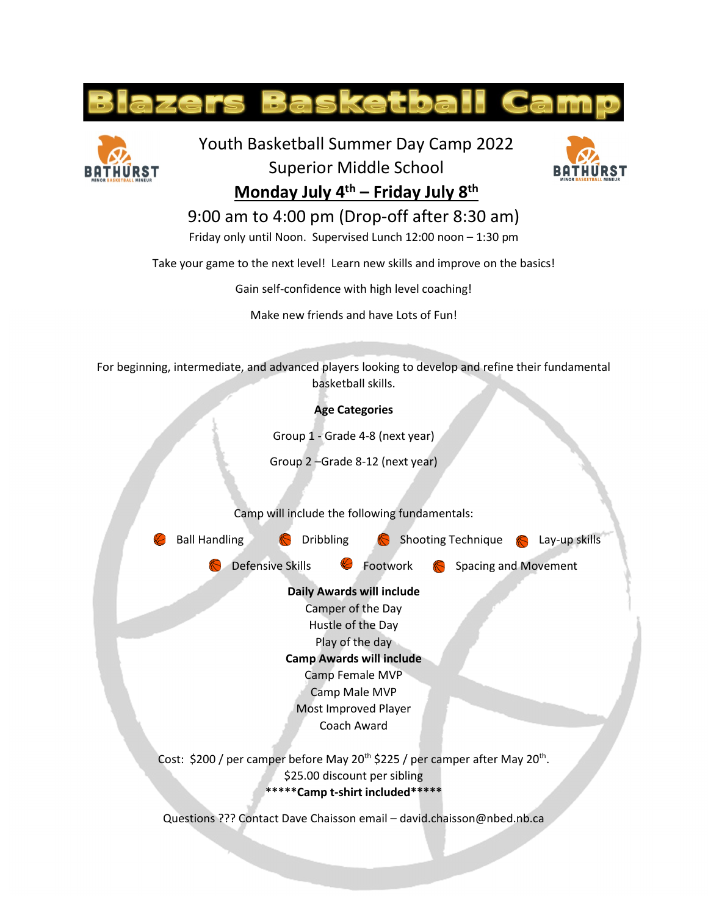



Youth Basketball Summer Day Camp 2022



Superior Middle School **Monday July 4th – Friday July 8th**

## 9:00 am to 4:00 pm (Drop-off after 8:30 am)

Friday only until Noon. Supervised Lunch 12:00 noon – 1:30 pm

Take your game to the next level! Learn new skills and improve on the basics!

Gain self-confidence with high level coaching!

Make new friends and have Lots of Fun!

For beginning, intermediate, and advanced players looking to develop and refine their fundamental basketball skills.

**Age Categories**

Group 1 - Grade 4-8 (next year)

Group 2 –Grade 8-12 (next year)

Camp will include the following fundamentals:



Questions ??? Contact Dave Chaisson email – david.chaisson@nbed.nb.ca